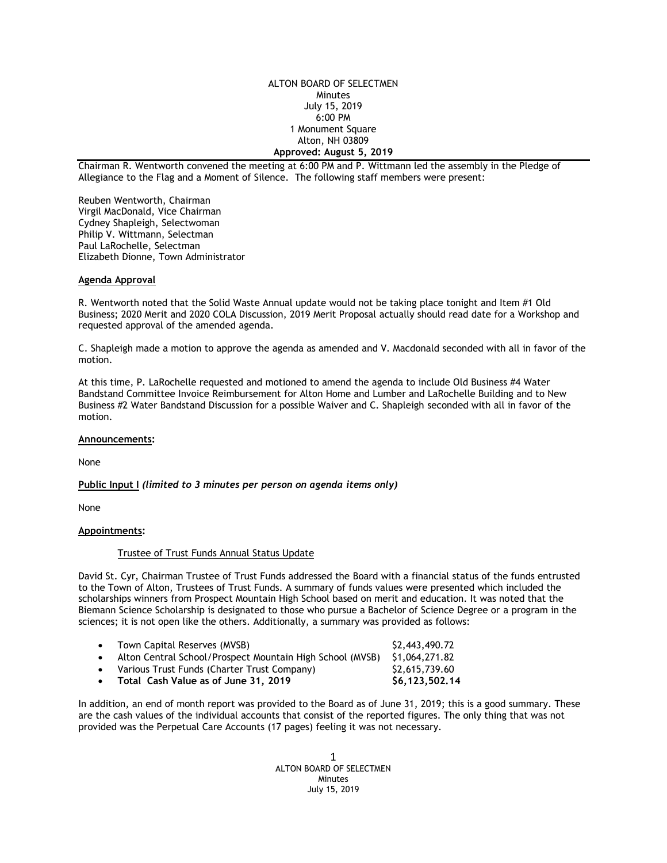ALTON BOARD OF SELECTMEN Minutes July 15, 2019 6:00 PM 1 Monument Square Alton, NH 03809 **Approved: August 5, 2019**

Chairman R. Wentworth convened the meeting at 6:00 PM and P. Wittmann led the assembly in the Pledge of Allegiance to the Flag and a Moment of Silence. The following staff members were present:

Reuben Wentworth, Chairman Virgil MacDonald, Vice Chairman Cydney Shapleigh, Selectwoman Philip V. Wittmann, Selectman Paul LaRochelle, Selectman Elizabeth Dionne, Town Administrator

#### **Agenda Approval**

R. Wentworth noted that the Solid Waste Annual update would not be taking place tonight and Item #1 Old Business; 2020 Merit and 2020 COLA Discussion, 2019 Merit Proposal actually should read date for a Workshop and requested approval of the amended agenda.

C. Shapleigh made a motion to approve the agenda as amended and V. Macdonald seconded with all in favor of the motion.

At this time, P. LaRochelle requested and motioned to amend the agenda to include Old Business #4 Water Bandstand Committee Invoice Reimbursement for Alton Home and Lumber and LaRochelle Building and to New Business #2 Water Bandstand Discussion for a possible Waiver and C. Shapleigh seconded with all in favor of the motion.

#### **Announcements:**

None

**Public Input I** *(limited to 3 minutes per person on agenda items only)*

None

# **Appointments:**

### Trustee of Trust Funds Annual Status Update

David St. Cyr, Chairman Trustee of Trust Funds addressed the Board with a financial status of the funds entrusted to the Town of Alton, Trustees of Trust Funds. A summary of funds values were presented which included the scholarships winners from Prospect Mountain High School based on merit and education. It was noted that the Biemann Science Scholarship is designated to those who pursue a Bachelor of Science Degree or a program in the sciences; it is not open like the others. Additionally, a summary was provided as follows:

- Town Capital Reserves (MVSB)  $$2,443,490.72$
- Alton Central School/Prospect Mountain High School (MVSB) \$1,064,271.82
- Various Trust Funds (Charter Trust Company) \$2,615,739.60
- Total Cash Value as of June 31, 2019 **\$6,123,502.14**

In addition, an end of month report was provided to the Board as of June 31, 2019; this is a good summary. These are the cash values of the individual accounts that consist of the reported figures. The only thing that was not provided was the Perpetual Care Accounts (17 pages) feeling it was not necessary.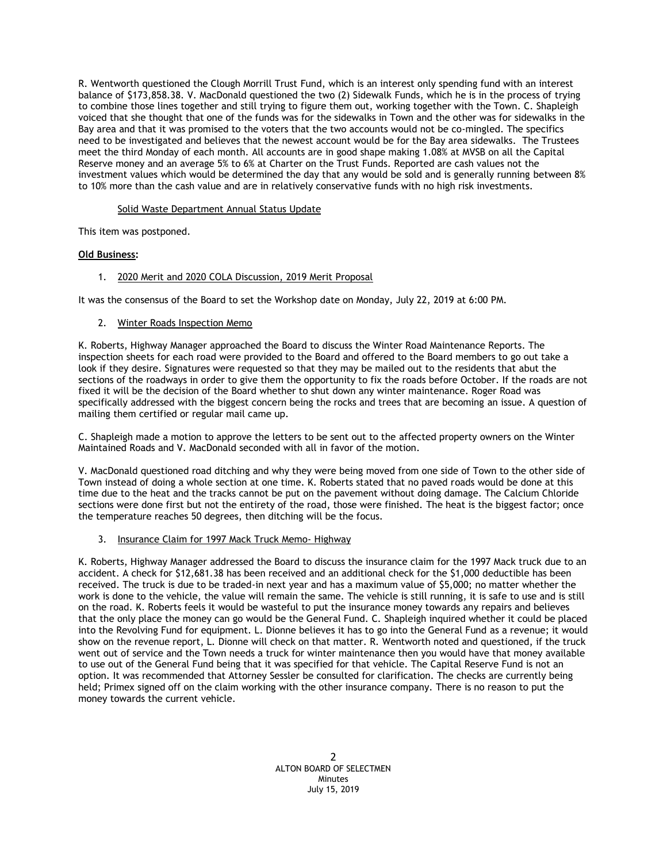R. Wentworth questioned the Clough Morrill Trust Fund, which is an interest only spending fund with an interest balance of \$173,858.38. V. MacDonald questioned the two (2) Sidewalk Funds, which he is in the process of trying to combine those lines together and still trying to figure them out, working together with the Town. C. Shapleigh voiced that she thought that one of the funds was for the sidewalks in Town and the other was for sidewalks in the Bay area and that it was promised to the voters that the two accounts would not be co-mingled. The specifics need to be investigated and believes that the newest account would be for the Bay area sidewalks. The Trustees meet the third Monday of each month. All accounts are in good shape making 1.08% at MVSB on all the Capital Reserve money and an average 5% to 6% at Charter on the Trust Funds. Reported are cash values not the investment values which would be determined the day that any would be sold and is generally running between 8% to 10% more than the cash value and are in relatively conservative funds with no high risk investments.

# Solid Waste Department Annual Status Update

This item was postponed.

# **Old Business:**

# 1. 2020 Merit and 2020 COLA Discussion, 2019 Merit Proposal

It was the consensus of the Board to set the Workshop date on Monday, July 22, 2019 at 6:00 PM.

### 2. Winter Roads Inspection Memo

K. Roberts, Highway Manager approached the Board to discuss the Winter Road Maintenance Reports. The inspection sheets for each road were provided to the Board and offered to the Board members to go out take a look if they desire. Signatures were requested so that they may be mailed out to the residents that abut the sections of the roadways in order to give them the opportunity to fix the roads before October. If the roads are not fixed it will be the decision of the Board whether to shut down any winter maintenance. Roger Road was specifically addressed with the biggest concern being the rocks and trees that are becoming an issue. A question of mailing them certified or regular mail came up.

C. Shapleigh made a motion to approve the letters to be sent out to the affected property owners on the Winter Maintained Roads and V. MacDonald seconded with all in favor of the motion.

V. MacDonald questioned road ditching and why they were being moved from one side of Town to the other side of Town instead of doing a whole section at one time. K. Roberts stated that no paved roads would be done at this time due to the heat and the tracks cannot be put on the pavement without doing damage. The Calcium Chloride sections were done first but not the entirety of the road, those were finished. The heat is the biggest factor; once the temperature reaches 50 degrees, then ditching will be the focus.

### 3. Insurance Claim for 1997 Mack Truck Memo- Highway

K. Roberts, Highway Manager addressed the Board to discuss the insurance claim for the 1997 Mack truck due to an accident. A check for \$12,681.38 has been received and an additional check for the \$1,000 deductible has been received. The truck is due to be traded-in next year and has a maximum value of \$5,000; no matter whether the work is done to the vehicle, the value will remain the same. The vehicle is still running, it is safe to use and is still on the road. K. Roberts feels it would be wasteful to put the insurance money towards any repairs and believes that the only place the money can go would be the General Fund. C. Shapleigh inquired whether it could be placed into the Revolving Fund for equipment. L. Dionne believes it has to go into the General Fund as a revenue; it would show on the revenue report, L. Dionne will check on that matter. R. Wentworth noted and questioned, if the truck went out of service and the Town needs a truck for winter maintenance then you would have that money available to use out of the General Fund being that it was specified for that vehicle. The Capital Reserve Fund is not an option. It was recommended that Attorney Sessler be consulted for clarification. The checks are currently being held; Primex signed off on the claim working with the other insurance company. There is no reason to put the money towards the current vehicle.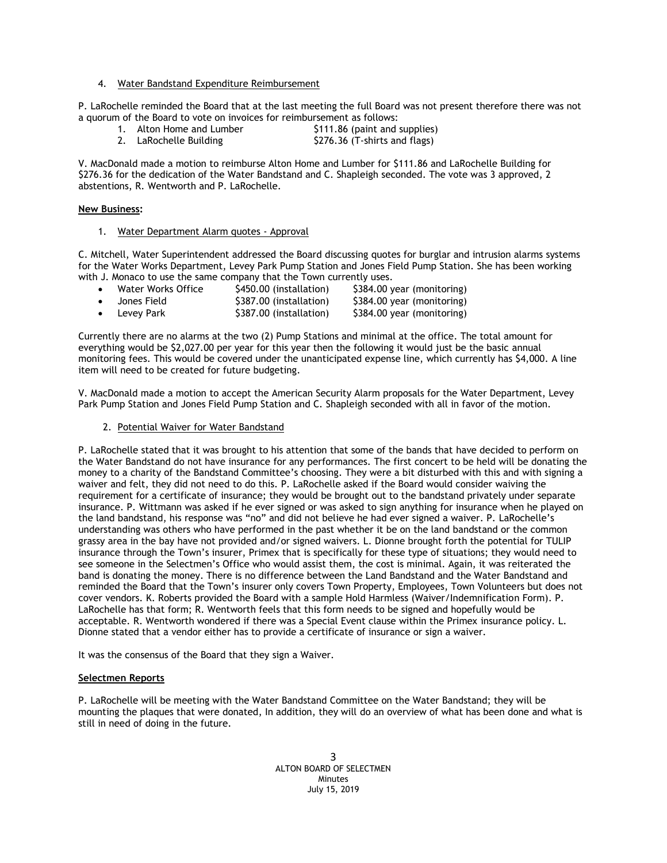4. Water Bandstand Expenditure Reimbursement

P. LaRochelle reminded the Board that at the last meeting the full Board was not present therefore there was not a quorum of the Board to vote on invoices for reimbursement as follows:

- 1. Alton Home and Lumber \$111.86 (paint and supplies)
- 2. LaRochelle Building \$276.36 (T-shirts and flags)

V. MacDonald made a motion to reimburse Alton Home and Lumber for \$111.86 and LaRochelle Building for \$276.36 for the dedication of the Water Bandstand and C. Shapleigh seconded. The vote was 3 approved, 2 abstentions, R. Wentworth and P. LaRochelle.

# **New Business:**

1. Water Department Alarm quotes - Approval

C. Mitchell, Water Superintendent addressed the Board discussing quotes for burglar and intrusion alarms systems for the Water Works Department, Levey Park Pump Station and Jones Field Pump Station. She has been working with J. Monaco to use the same company that the Town currently uses.

|   | Water Works Office | \$450.00 (installation) | \$384.00 year (monitoring) |
|---|--------------------|-------------------------|----------------------------|
| ٠ | Jones Field        | \$387.00 (installation) | \$384.00 year (monitoring) |
|   | Levey Park         | \$387.00 (installation) | \$384.00 year (monitoring) |

Currently there are no alarms at the two (2) Pump Stations and minimal at the office. The total amount for everything would be \$2,027.00 per year for this year then the following it would just be the basic annual monitoring fees. This would be covered under the unanticipated expense line, which currently has \$4,000. A line item will need to be created for future budgeting.

V. MacDonald made a motion to accept the American Security Alarm proposals for the Water Department, Levey Park Pump Station and Jones Field Pump Station and C. Shapleigh seconded with all in favor of the motion.

2. Potential Waiver for Water Bandstand

P. LaRochelle stated that it was brought to his attention that some of the bands that have decided to perform on the Water Bandstand do not have insurance for any performances. The first concert to be held will be donating the money to a charity of the Bandstand Committee's choosing. They were a bit disturbed with this and with signing a waiver and felt, they did not need to do this. P. LaRochelle asked if the Board would consider waiving the requirement for a certificate of insurance; they would be brought out to the bandstand privately under separate insurance. P. Wittmann was asked if he ever signed or was asked to sign anything for insurance when he played on the land bandstand, his response was "no" and did not believe he had ever signed a waiver. P. LaRochelle's understanding was others who have performed in the past whether it be on the land bandstand or the common grassy area in the bay have not provided and/or signed waivers. L. Dionne brought forth the potential for TULIP insurance through the Town's insurer, Primex that is specifically for these type of situations; they would need to see someone in the Selectmen's Office who would assist them, the cost is minimal. Again, it was reiterated the band is donating the money. There is no difference between the Land Bandstand and the Water Bandstand and reminded the Board that the Town's insurer only covers Town Property, Employees, Town Volunteers but does not cover vendors. K. Roberts provided the Board with a sample Hold Harmless (Waiver/Indemnification Form). P. LaRochelle has that form; R. Wentworth feels that this form needs to be signed and hopefully would be acceptable. R. Wentworth wondered if there was a Special Event clause within the Primex insurance policy. L. Dionne stated that a vendor either has to provide a certificate of insurance or sign a waiver.

It was the consensus of the Board that they sign a Waiver.

### **Selectmen Reports**

P. LaRochelle will be meeting with the Water Bandstand Committee on the Water Bandstand; they will be mounting the plaques that were donated, In addition, they will do an overview of what has been done and what is still in need of doing in the future.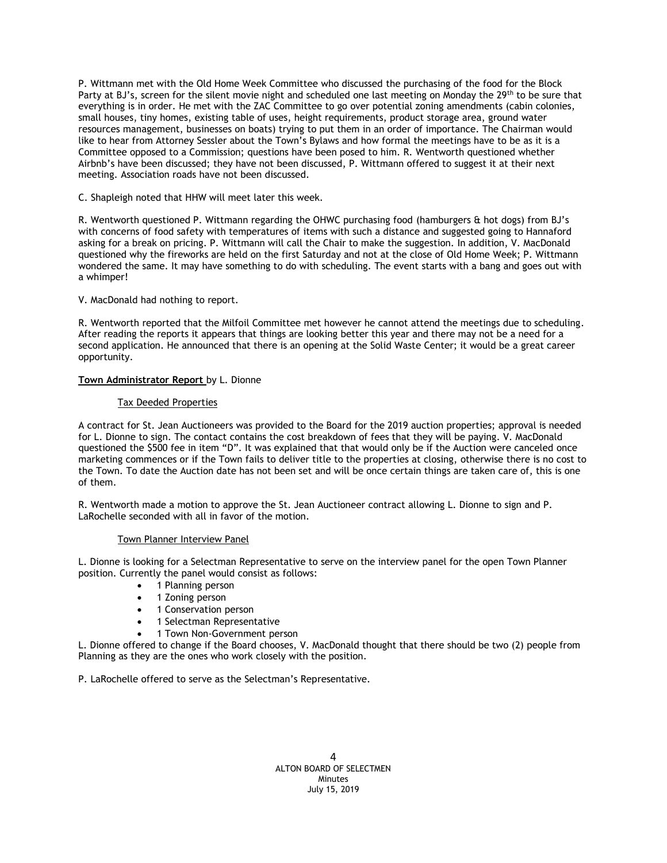P. Wittmann met with the Old Home Week Committee who discussed the purchasing of the food for the Block Party at BJ's, screen for the silent movie night and scheduled one last meeting on Monday the 29th to be sure that everything is in order. He met with the ZAC Committee to go over potential zoning amendments (cabin colonies, small houses, tiny homes, existing table of uses, height requirements, product storage area, ground water resources management, businesses on boats) trying to put them in an order of importance. The Chairman would like to hear from Attorney Sessler about the Town's Bylaws and how formal the meetings have to be as it is a Committee opposed to a Commission; questions have been posed to him. R. Wentworth questioned whether Airbnb's have been discussed; they have not been discussed, P. Wittmann offered to suggest it at their next meeting. Association roads have not been discussed.

C. Shapleigh noted that HHW will meet later this week.

R. Wentworth questioned P. Wittmann regarding the OHWC purchasing food (hamburgers & hot dogs) from BJ's with concerns of food safety with temperatures of items with such a distance and suggested going to Hannaford asking for a break on pricing. P. Wittmann will call the Chair to make the suggestion. In addition, V. MacDonald questioned why the fireworks are held on the first Saturday and not at the close of Old Home Week; P. Wittmann wondered the same. It may have something to do with scheduling. The event starts with a bang and goes out with a whimper!

V. MacDonald had nothing to report.

R. Wentworth reported that the Milfoil Committee met however he cannot attend the meetings due to scheduling. After reading the reports it appears that things are looking better this year and there may not be a need for a second application. He announced that there is an opening at the Solid Waste Center; it would be a great career opportunity.

# **Town Administrator Report** by L. Dionne

# Tax Deeded Properties

A contract for St. Jean Auctioneers was provided to the Board for the 2019 auction properties; approval is needed for L. Dionne to sign. The contact contains the cost breakdown of fees that they will be paying. V. MacDonald questioned the \$500 fee in item "D". It was explained that that would only be if the Auction were canceled once marketing commences or if the Town fails to deliver title to the properties at closing, otherwise there is no cost to the Town. To date the Auction date has not been set and will be once certain things are taken care of, this is one of them.

R. Wentworth made a motion to approve the St. Jean Auctioneer contract allowing L. Dionne to sign and P. LaRochelle seconded with all in favor of the motion.

### Town Planner Interview Panel

L. Dionne is looking for a Selectman Representative to serve on the interview panel for the open Town Planner position. Currently the panel would consist as follows:

- 1 Planning person
- 1 Zoning person
- 1 Conservation person
- 1 Selectman Representative
- 1 Town Non-Government person

L. Dionne offered to change if the Board chooses, V. MacDonald thought that there should be two (2) people from Planning as they are the ones who work closely with the position.

P. LaRochelle offered to serve as the Selectman's Representative.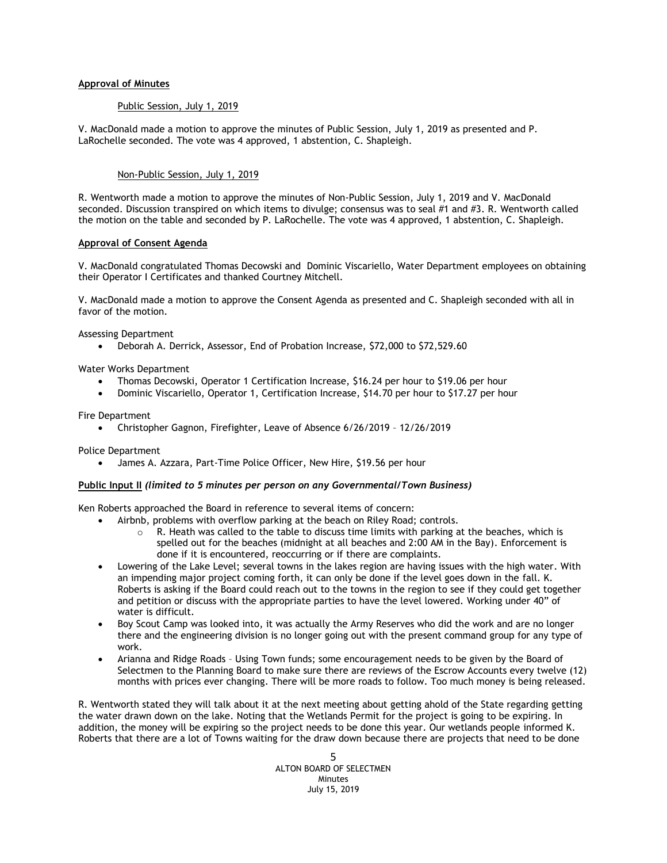### **Approval of Minutes**

#### Public Session, July 1, 2019

V. MacDonald made a motion to approve the minutes of Public Session, July 1, 2019 as presented and P. LaRochelle seconded. The vote was 4 approved, 1 abstention, C. Shapleigh.

#### Non-Public Session, July 1, 2019

R. Wentworth made a motion to approve the minutes of Non-Public Session, July 1, 2019 and V. MacDonald seconded. Discussion transpired on which items to divulge; consensus was to seal #1 and #3. R. Wentworth called the motion on the table and seconded by P. LaRochelle. The vote was 4 approved, 1 abstention, C. Shapleigh.

#### **Approval of Consent Agenda**

V. MacDonald congratulated Thomas Decowski and Dominic Viscariello, Water Department employees on obtaining their Operator I Certificates and thanked Courtney Mitchell.

V. MacDonald made a motion to approve the Consent Agenda as presented and C. Shapleigh seconded with all in favor of the motion.

Assessing Department

Deborah A. Derrick, Assessor, End of Probation Increase, \$72,000 to \$72,529.60

Water Works Department

- Thomas Decowski, Operator 1 Certification Increase, \$16.24 per hour to \$19.06 per hour
- Dominic Viscariello, Operator 1, Certification Increase, \$14.70 per hour to \$17.27 per hour

Fire Department

Christopher Gagnon, Firefighter, Leave of Absence 6/26/2019 – 12/26/2019

Police Department

James A. Azzara, Part-Time Police Officer, New Hire, \$19.56 per hour

#### **Public Input II** *(limited to 5 minutes per person on any Governmental/Town Business)*

Ken Roberts approached the Board in reference to several items of concern:

- Airbnb, problems with overflow parking at the beach on Riley Road; controls.
	- $\circ$  R. Heath was called to the table to discuss time limits with parking at the beaches, which is spelled out for the beaches (midnight at all beaches and 2:00 AM in the Bay). Enforcement is done if it is encountered, reoccurring or if there are complaints.
- Lowering of the Lake Level; several towns in the lakes region are having issues with the high water. With an impending major project coming forth, it can only be done if the level goes down in the fall. K. Roberts is asking if the Board could reach out to the towns in the region to see if they could get together and petition or discuss with the appropriate parties to have the level lowered. Working under 40" of water is difficult.
- Boy Scout Camp was looked into, it was actually the Army Reserves who did the work and are no longer there and the engineering division is no longer going out with the present command group for any type of work.
- Arianna and Ridge Roads Using Town funds; some encouragement needs to be given by the Board of Selectmen to the Planning Board to make sure there are reviews of the Escrow Accounts every twelve (12) months with prices ever changing. There will be more roads to follow. Too much money is being released.

R. Wentworth stated they will talk about it at the next meeting about getting ahold of the State regarding getting the water drawn down on the lake. Noting that the Wetlands Permit for the project is going to be expiring. In addition, the money will be expiring so the project needs to be done this year. Our wetlands people informed K. Roberts that there are a lot of Towns waiting for the draw down because there are projects that need to be done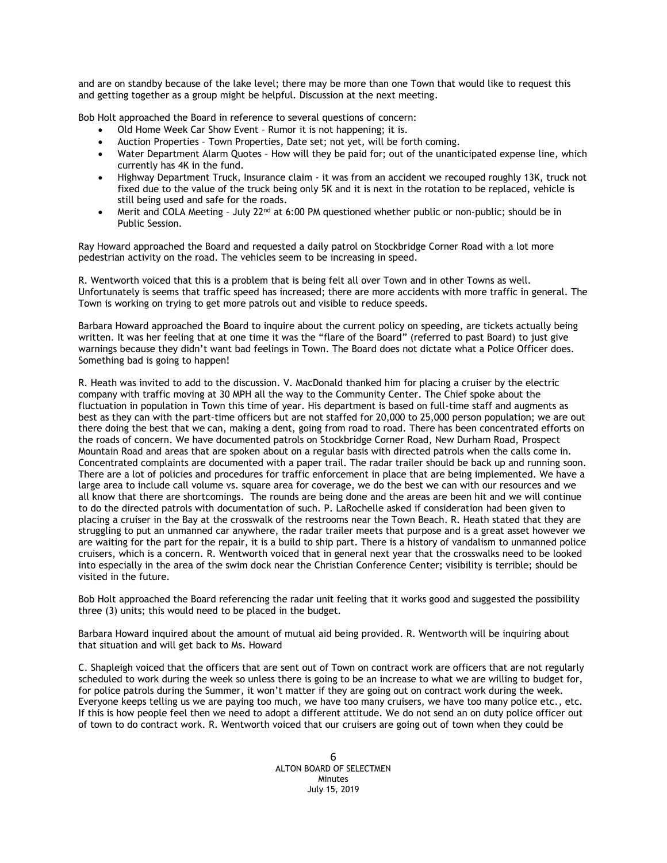and are on standby because of the lake level; there may be more than one Town that would like to request this and getting together as a group might be helpful. Discussion at the next meeting.

Bob Holt approached the Board in reference to several questions of concern:

- Old Home Week Car Show Event Rumor it is not happening; it is.
- Auction Properties Town Properties, Date set; not yet, will be forth coming.
- Water Department Alarm Quotes How will they be paid for; out of the unanticipated expense line, which currently has 4K in the fund.
- Highway Department Truck, Insurance claim it was from an accident we recouped roughly 13K, truck not fixed due to the value of the truck being only 5K and it is next in the rotation to be replaced, vehicle is still being used and safe for the roads.
- Merit and COLA Meeting July 22<sup>nd</sup> at 6:00 PM questioned whether public or non-public; should be in Public Session.

Ray Howard approached the Board and requested a daily patrol on Stockbridge Corner Road with a lot more pedestrian activity on the road. The vehicles seem to be increasing in speed.

R. Wentworth voiced that this is a problem that is being felt all over Town and in other Towns as well. Unfortunately is seems that traffic speed has increased; there are more accidents with more traffic in general. The Town is working on trying to get more patrols out and visible to reduce speeds.

Barbara Howard approached the Board to inquire about the current policy on speeding, are tickets actually being written. It was her feeling that at one time it was the "flare of the Board" (referred to past Board) to just give warnings because they didn't want bad feelings in Town. The Board does not dictate what a Police Officer does. Something bad is going to happen!

R. Heath was invited to add to the discussion. V. MacDonald thanked him for placing a cruiser by the electric company with traffic moving at 30 MPH all the way to the Community Center. The Chief spoke about the fluctuation in population in Town this time of year. His department is based on full-time staff and augments as best as they can with the part-time officers but are not staffed for 20,000 to 25,000 person population; we are out there doing the best that we can, making a dent, going from road to road. There has been concentrated efforts on the roads of concern. We have documented patrols on Stockbridge Corner Road, New Durham Road, Prospect Mountain Road and areas that are spoken about on a regular basis with directed patrols when the calls come in. Concentrated complaints are documented with a paper trail. The radar trailer should be back up and running soon. There are a lot of policies and procedures for traffic enforcement in place that are being implemented. We have a large area to include call volume vs. square area for coverage, we do the best we can with our resources and we all know that there are shortcomings. The rounds are being done and the areas are been hit and we will continue to do the directed patrols with documentation of such. P. LaRochelle asked if consideration had been given to placing a cruiser in the Bay at the crosswalk of the restrooms near the Town Beach. R. Heath stated that they are struggling to put an unmanned car anywhere, the radar trailer meets that purpose and is a great asset however we are waiting for the part for the repair, it is a build to ship part. There is a history of vandalism to unmanned police cruisers, which is a concern. R. Wentworth voiced that in general next year that the crosswalks need to be looked into especially in the area of the swim dock near the Christian Conference Center; visibility is terrible; should be visited in the future.

Bob Holt approached the Board referencing the radar unit feeling that it works good and suggested the possibility three (3) units; this would need to be placed in the budget.

Barbara Howard inquired about the amount of mutual aid being provided. R. Wentworth will be inquiring about that situation and will get back to Ms. Howard

C. Shapleigh voiced that the officers that are sent out of Town on contract work are officers that are not regularly scheduled to work during the week so unless there is going to be an increase to what we are willing to budget for, for police patrols during the Summer, it won't matter if they are going out on contract work during the week. Everyone keeps telling us we are paying too much, we have too many cruisers, we have too many police etc., etc. If this is how people feel then we need to adopt a different attitude. We do not send an on duty police officer out of town to do contract work. R. Wentworth voiced that our cruisers are going out of town when they could be